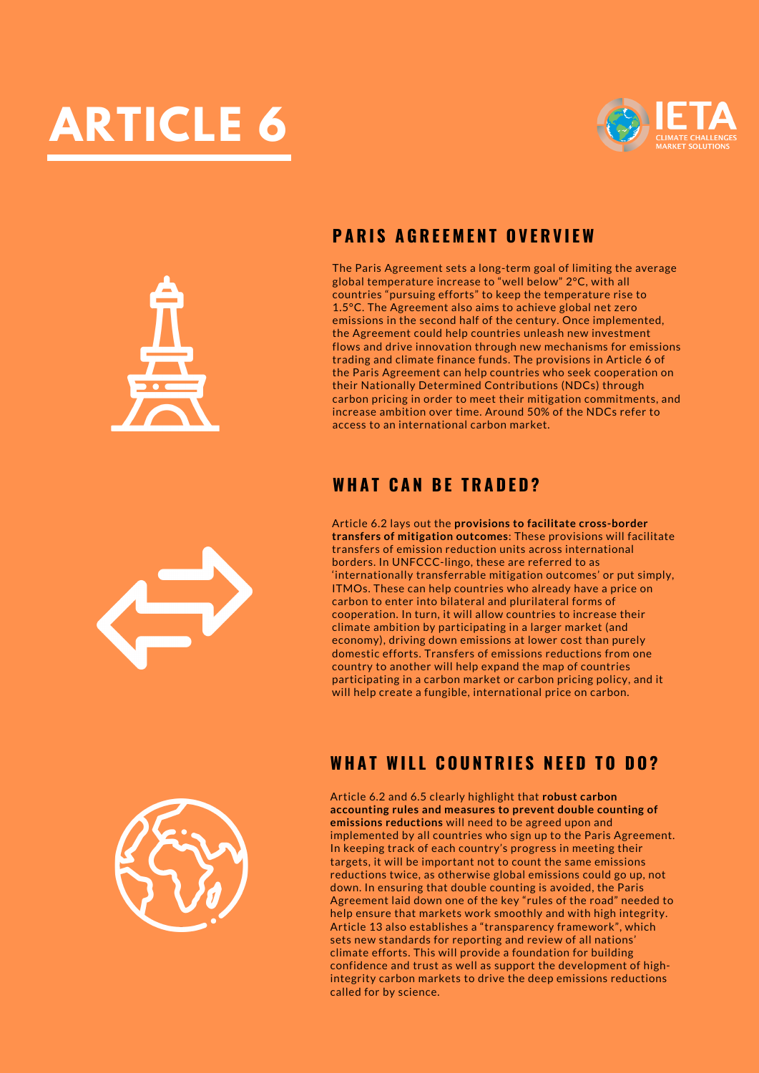





The Paris Agreement sets a long-term goal of limiting the average global temperature increase to "well below" 2°C, with all countries "pursuing efforts" to keep the temperature rise to 1.5°C. The Agreement also aims to achieve global net zero emissions in the second half of the century. Once implemented, the Agreement could help countries unleash new investment flows and drive innovation through new mechanisms for emissions trading and climate finance funds. The provisions in Article 6 of the Paris Agreement can help countries who seek cooperation on their Nationally Determined Contributions (NDCs) through carbon pricing in order to meet their mitigation commitments, and increase ambition over time. Around 50% of the NDCs refer to access to an international carbon market.

## **WH A T C A N B E T R A D E D ?**

Article 6.2 lays out the **provisions to facilitate cross-border transfers of mitigation outcomes**: These provisions will facilitate transfers of emission reduction units across international borders. In UNFCCC-lingo, these are referred to as 'internationally transferrable mitigation outcomes' or put simply, ITMOs. These can help countries who already have a price on carbon to enter into bilateral and plurilateral forms of cooperation. In turn, it will allow countries to increase their climate ambition by participating in a larger market (and economy), driving down emissions at lower cost than purely domestic efforts. Transfers of emissions reductions from one country to another will help expand the map of countries participating in a carbon market or carbon pricing policy, and it will help create a fungible, international price on carbon.



## **WH A T WI L L C O U N T R I E S N E E D T O D O ?**

Article 6.2 and 6.5 clearly highlight that **robust carbon accounting rules and measures to prevent double counting of emissions reductions** will need to be agreed upon and implemented by all countries who sign up to the Paris Agreement. In keeping track of each country's progress in meeting their targets, it will be important not to count the same emissions reductions twice, as otherwise global emissions could go up, not down. In ensuring that double counting is avoided, the Paris Agreement laid down one of the key "rules of the road" needed to help ensure that markets work smoothly and with high integrity. Article 13 also establishes a "transparency framework", which sets new standards for reporting and review of all nations' climate efforts. This will provide a foundation for building confidence and trust as well as support the development of highintegrity carbon markets to drive the deep emissions reductions called for by science.